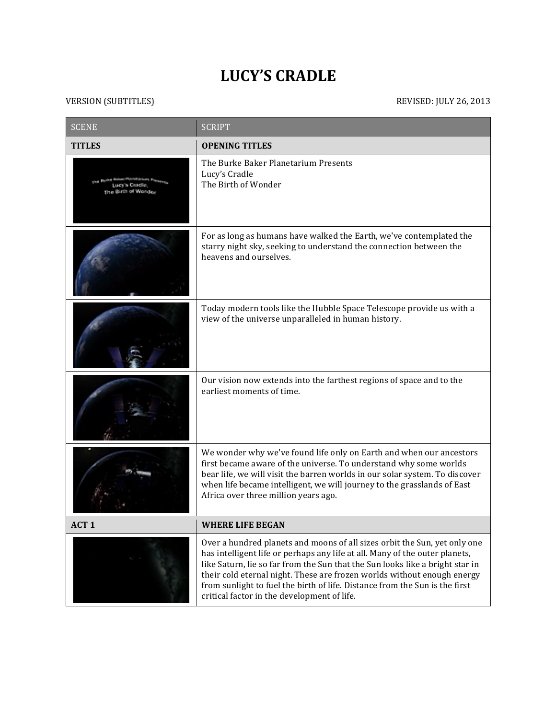## **LUCY'S CRADLE**

## VERSION (SUBTITLES) REVISED: JULY 26, 2013

| <b>SCENE</b>     | <b>SCRIPT</b>                                                                                                                                                                                                                                                                                                                                                                                                                                      |
|------------------|----------------------------------------------------------------------------------------------------------------------------------------------------------------------------------------------------------------------------------------------------------------------------------------------------------------------------------------------------------------------------------------------------------------------------------------------------|
| <b>TITLES</b>    | <b>OPENING TITLES</b>                                                                                                                                                                                                                                                                                                                                                                                                                              |
| uth of Wanda     | The Burke Baker Planetarium Presents<br>Lucy's Cradle<br>The Birth of Wonder                                                                                                                                                                                                                                                                                                                                                                       |
|                  | For as long as humans have walked the Earth, we've contemplated the<br>starry night sky, seeking to understand the connection between the<br>heavens and ourselves.                                                                                                                                                                                                                                                                                |
|                  | Today modern tools like the Hubble Space Telescope provide us with a<br>view of the universe unparalleled in human history.                                                                                                                                                                                                                                                                                                                        |
|                  | Our vision now extends into the farthest regions of space and to the<br>earliest moments of time.                                                                                                                                                                                                                                                                                                                                                  |
|                  | We wonder why we've found life only on Earth and when our ancestors<br>first became aware of the universe. To understand why some worlds<br>bear life, we will visit the barren worlds in our solar system. To discover<br>when life became intelligent, we will journey to the grasslands of East<br>Africa over three million years ago.                                                                                                         |
| ACT <sub>1</sub> | <b>WHERE LIFE BEGAN</b>                                                                                                                                                                                                                                                                                                                                                                                                                            |
|                  | Over a hundred planets and moons of all sizes orbit the Sun, yet only one<br>has intelligent life or perhaps any life at all. Many of the outer planets,<br>like Saturn, lie so far from the Sun that the Sun looks like a bright star in<br>their cold eternal night. These are frozen worlds without enough energy<br>from sunlight to fuel the birth of life. Distance from the Sun is the first<br>critical factor in the development of life. |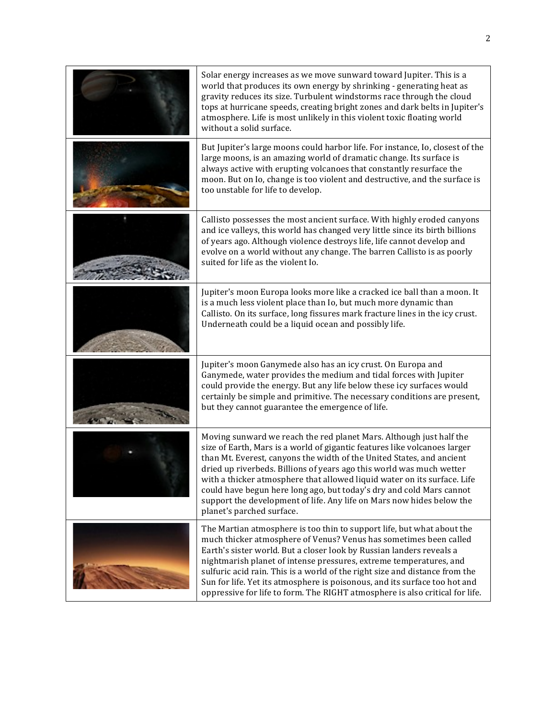| Solar energy increases as we move sunward toward Jupiter. This is a<br>world that produces its own energy by shrinking - generating heat as<br>gravity reduces its size. Turbulent windstorms race through the cloud<br>tops at hurricane speeds, creating bright zones and dark belts in Jupiter's<br>atmosphere. Life is most unlikely in this violent toxic floating world<br>without a solid surface.                                                                                                                                                   |
|-------------------------------------------------------------------------------------------------------------------------------------------------------------------------------------------------------------------------------------------------------------------------------------------------------------------------------------------------------------------------------------------------------------------------------------------------------------------------------------------------------------------------------------------------------------|
| But Jupiter's large moons could harbor life. For instance, Io, closest of the<br>large moons, is an amazing world of dramatic change. Its surface is<br>always active with erupting volcanoes that constantly resurface the<br>moon. But on Io, change is too violent and destructive, and the surface is<br>too unstable for life to develop.                                                                                                                                                                                                              |
| Callisto possesses the most ancient surface. With highly eroded canyons<br>and ice valleys, this world has changed very little since its birth billions<br>of years ago. Although violence destroys life, life cannot develop and<br>evolve on a world without any change. The barren Callisto is as poorly<br>suited for life as the violent Io.                                                                                                                                                                                                           |
| Jupiter's moon Europa looks more like a cracked ice ball than a moon. It<br>is a much less violent place than Io, but much more dynamic than<br>Callisto. On its surface, long fissures mark fracture lines in the icy crust.<br>Underneath could be a liquid ocean and possibly life.                                                                                                                                                                                                                                                                      |
| Jupiter's moon Ganymede also has an icy crust. On Europa and<br>Ganymede, water provides the medium and tidal forces with Jupiter<br>could provide the energy. But any life below these icy surfaces would<br>certainly be simple and primitive. The necessary conditions are present,<br>but they cannot guarantee the emergence of life.                                                                                                                                                                                                                  |
| Moving sunward we reach the red planet Mars. Although just half the<br>size of Earth, Mars is a world of gigantic features like volcanoes larger<br>than Mt. Everest, canyons the width of the United States, and ancient<br>dried up riverbeds. Billions of years ago this world was much wetter<br>with a thicker atmosphere that allowed liquid water on its surface. Life<br>could have begun here long ago, but today's dry and cold Mars cannot<br>support the development of life. Any life on Mars now hides below the<br>planet's parched surface. |
| The Martian atmosphere is too thin to support life, but what about the<br>much thicker atmosphere of Venus? Venus has sometimes been called<br>Earth's sister world. But a closer look by Russian landers reveals a<br>nightmarish planet of intense pressures, extreme temperatures, and<br>sulfuric acid rain. This is a world of the right size and distance from the<br>Sun for life. Yet its atmosphere is poisonous, and its surface too hot and<br>oppressive for life to form. The RIGHT atmosphere is also critical for life.                      |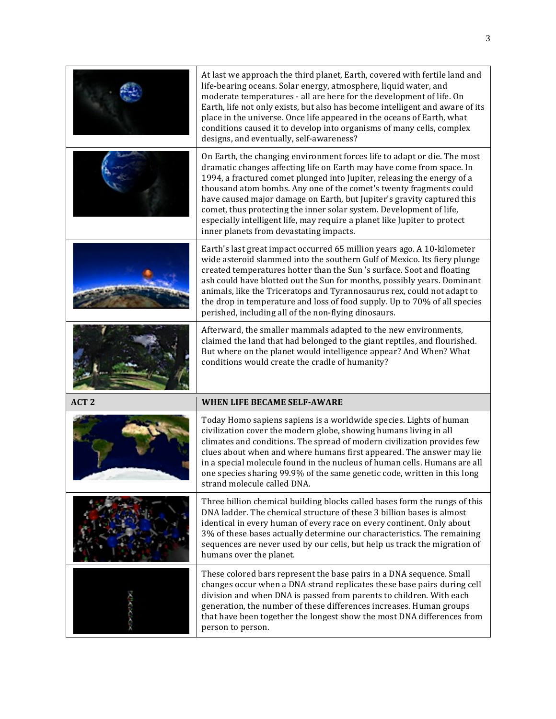|                  | At last we approach the third planet, Earth, covered with fertile land and<br>life-bearing oceans. Solar energy, atmosphere, liquid water, and<br>moderate temperatures - all are here for the development of life. On<br>Earth, life not only exists, but also has become intelligent and aware of its<br>place in the universe. Once life appeared in the oceans of Earth, what<br>conditions caused it to develop into organisms of many cells, complex<br>designs, and eventually, self-awareness?                                                                      |
|------------------|-----------------------------------------------------------------------------------------------------------------------------------------------------------------------------------------------------------------------------------------------------------------------------------------------------------------------------------------------------------------------------------------------------------------------------------------------------------------------------------------------------------------------------------------------------------------------------|
|                  | On Earth, the changing environment forces life to adapt or die. The most<br>dramatic changes affecting life on Earth may have come from space. In<br>1994, a fractured comet plunged into Jupiter, releasing the energy of a<br>thousand atom bombs. Any one of the comet's twenty fragments could<br>have caused major damage on Earth, but Jupiter's gravity captured this<br>comet, thus protecting the inner solar system. Development of life,<br>especially intelligent life, may require a planet like Jupiter to protect<br>inner planets from devastating impacts. |
|                  | Earth's last great impact occurred 65 million years ago. A 10-kilometer<br>wide asteroid slammed into the southern Gulf of Mexico. Its fiery plunge<br>created temperatures hotter than the Sun 's surface. Soot and floating<br>ash could have blotted out the Sun for months, possibly years. Dominant<br>animals, like the Triceratops and Tyrannosaurus rex, could not adapt to<br>the drop in temperature and loss of food supply. Up to 70% of all species<br>perished, including all of the non-flying dinosaurs.                                                    |
|                  | Afterward, the smaller mammals adapted to the new environments,<br>claimed the land that had belonged to the giant reptiles, and flourished.<br>But where on the planet would intelligence appear? And When? What<br>conditions would create the cradle of humanity?                                                                                                                                                                                                                                                                                                        |
| ACT <sub>2</sub> | WHEN LIFE BECAME SELF-AWARE                                                                                                                                                                                                                                                                                                                                                                                                                                                                                                                                                 |
|                  | Today Homo sapiens sapiens is a worldwide species. Lights of human<br>civilization cover the modern globe, showing humans living in all<br>climates and conditions. The spread of modern civilization provides few<br>clues about when and where humans first appeared. The answer may lie<br>in a special molecule found in the nucleus of human cells. Humans are all<br>one species sharing 99.9% of the same genetic code, written in this long<br>strand molecule called DNA.                                                                                          |
|                  | Three billion chemical building blocks called bases form the rungs of this<br>DNA ladder. The chemical structure of these 3 billion bases is almost<br>identical in every human of every race on every continent. Only about<br>3% of these bases actually determine our characteristics. The remaining<br>sequences are never used by our cells, but help us track the migration of<br>humans over the planet.                                                                                                                                                             |
|                  | These colored bars represent the base pairs in a DNA sequence. Small<br>changes occur when a DNA strand replicates these base pairs during cell<br>division and when DNA is passed from parents to children. With each<br>generation, the number of these differences increases. Human groups<br>that have been together the longest show the most DNA differences from<br>person to person.                                                                                                                                                                                |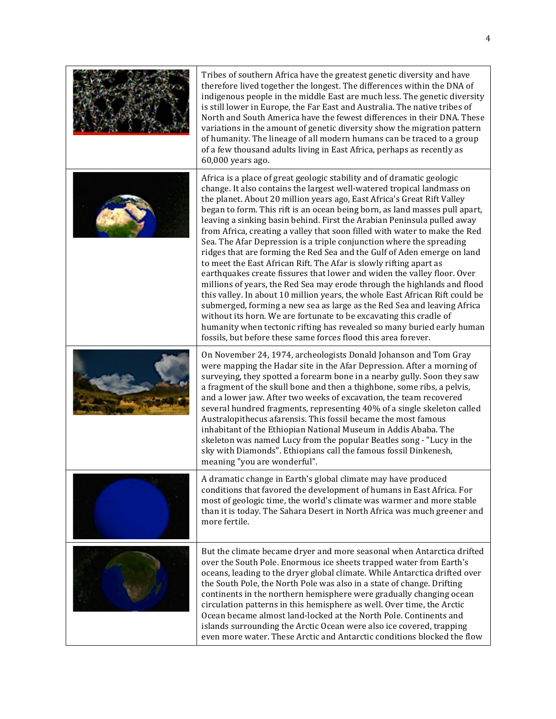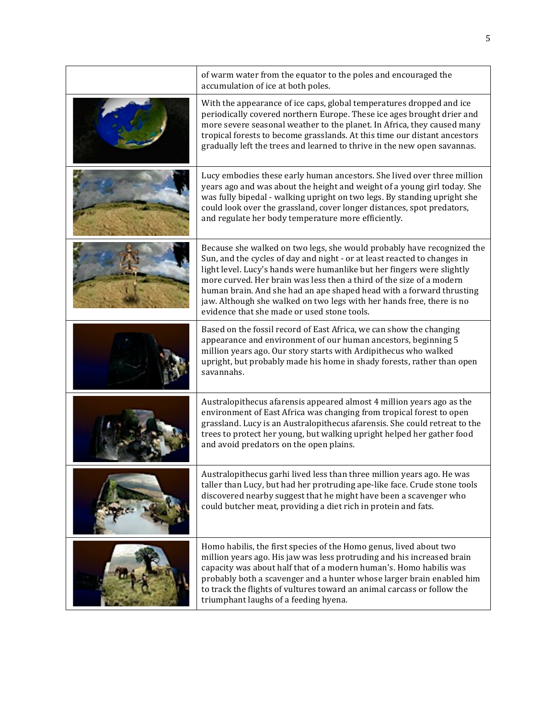| of warm water from the equator to the poles and encouraged the<br>accumulation of ice at both poles.                                                                                                                                                                                                                                                                                                                                                                                                 |
|------------------------------------------------------------------------------------------------------------------------------------------------------------------------------------------------------------------------------------------------------------------------------------------------------------------------------------------------------------------------------------------------------------------------------------------------------------------------------------------------------|
| With the appearance of ice caps, global temperatures dropped and ice<br>periodically covered northern Europe. These ice ages brought drier and<br>more severe seasonal weather to the planet. In Africa, they caused many<br>tropical forests to become grasslands. At this time our distant ancestors<br>gradually left the trees and learned to thrive in the new open savannas.                                                                                                                   |
| Lucy embodies these early human ancestors. She lived over three million<br>years ago and was about the height and weight of a young girl today. She<br>was fully bipedal - walking upright on two legs. By standing upright she<br>could look over the grassland, cover longer distances, spot predators,<br>and regulate her body temperature more efficiently.                                                                                                                                     |
| Because she walked on two legs, she would probably have recognized the<br>Sun, and the cycles of day and night - or at least reacted to changes in<br>light level. Lucy's hands were humanlike but her fingers were slightly<br>more curved. Her brain was less then a third of the size of a modern<br>human brain. And she had an ape shaped head with a forward thrusting<br>jaw. Although she walked on two legs with her hands free, there is no<br>evidence that she made or used stone tools. |
| Based on the fossil record of East Africa, we can show the changing<br>appearance and environment of our human ancestors, beginning 5<br>million years ago. Our story starts with Ardipithecus who walked<br>upright, but probably made his home in shady forests, rather than open<br>savannahs.                                                                                                                                                                                                    |
| Australopithecus afarensis appeared almost 4 million years ago as the<br>environment of East Africa was changing from tropical forest to open<br>grassland. Lucy is an Australopithecus afarensis. She could retreat to the<br>trees to protect her young, but walking upright helped her gather food<br>and avoid predators on the open plains.                                                                                                                                                     |
| Australopithecus garhi lived less than three million years ago. He was<br>taller than Lucy, but had her protruding ape-like face. Crude stone tools<br>discovered nearby suggest that he might have been a scavenger who<br>could butcher meat, providing a diet rich in protein and fats.                                                                                                                                                                                                           |
| Homo habilis, the first species of the Homo genus, lived about two<br>million years ago. His jaw was less protruding and his increased brain<br>capacity was about half that of a modern human's. Homo habilis was<br>probably both a scavenger and a hunter whose larger brain enabled him<br>to track the flights of vultures toward an animal carcass or follow the<br>triumphant laughs of a feeding hyena.                                                                                      |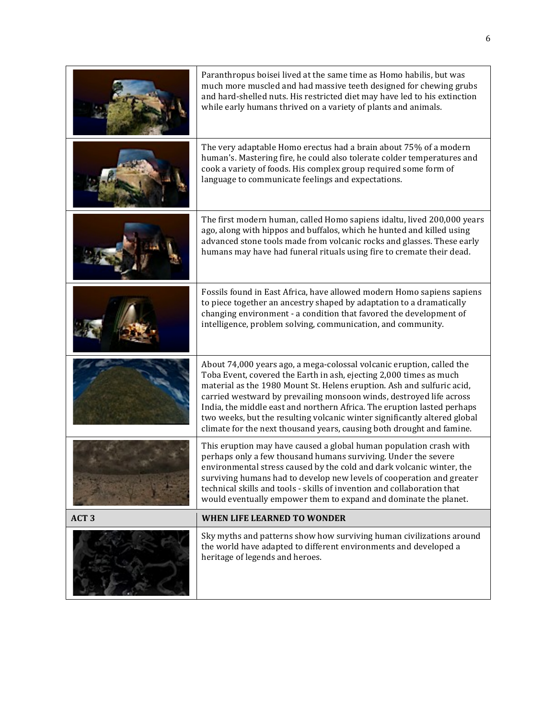|                  | Sky myths and patterns show how surviving human civilizations around<br>the world have adapted to different environments and developed a<br>heritage of legends and heroes.                                                                                                                                                                                                                                                                                                                                                   |
|------------------|-------------------------------------------------------------------------------------------------------------------------------------------------------------------------------------------------------------------------------------------------------------------------------------------------------------------------------------------------------------------------------------------------------------------------------------------------------------------------------------------------------------------------------|
| ACT <sub>3</sub> | <b>WHEN LIFE LEARNED TO WONDER</b>                                                                                                                                                                                                                                                                                                                                                                                                                                                                                            |
|                  | This eruption may have caused a global human population crash with<br>perhaps only a few thousand humans surviving. Under the severe<br>environmental stress caused by the cold and dark volcanic winter, the<br>surviving humans had to develop new levels of cooperation and greater<br>technical skills and tools - skills of invention and collaboration that<br>would eventually empower them to expand and dominate the planet.                                                                                         |
|                  | About 74,000 years ago, a mega-colossal volcanic eruption, called the<br>Toba Event, covered the Earth in ash, ejecting 2,000 times as much<br>material as the 1980 Mount St. Helens eruption. Ash and sulfuric acid,<br>carried westward by prevailing monsoon winds, destroyed life across<br>India, the middle east and northern Africa. The eruption lasted perhaps<br>two weeks, but the resulting volcanic winter significantly altered global<br>climate for the next thousand years, causing both drought and famine. |
|                  | Fossils found in East Africa, have allowed modern Homo sapiens sapiens<br>to piece together an ancestry shaped by adaptation to a dramatically<br>changing environment - a condition that favored the development of<br>intelligence, problem solving, communication, and community.                                                                                                                                                                                                                                          |
|                  | The first modern human, called Homo sapiens idaltu, lived 200,000 years<br>ago, along with hippos and buffalos, which he hunted and killed using<br>advanced stone tools made from volcanic rocks and glasses. These early<br>humans may have had funeral rituals using fire to cremate their dead.                                                                                                                                                                                                                           |
|                  | The very adaptable Homo erectus had a brain about 75% of a modern<br>human's. Mastering fire, he could also tolerate colder temperatures and<br>cook a variety of foods. His complex group required some form of<br>language to communicate feelings and expectations.                                                                                                                                                                                                                                                        |
|                  | Paranthropus boisei lived at the same time as Homo habilis, but was<br>much more muscled and had massive teeth designed for chewing grubs<br>and hard-shelled nuts. His restricted diet may have led to his extinction<br>while early humans thrived on a variety of plants and animals.                                                                                                                                                                                                                                      |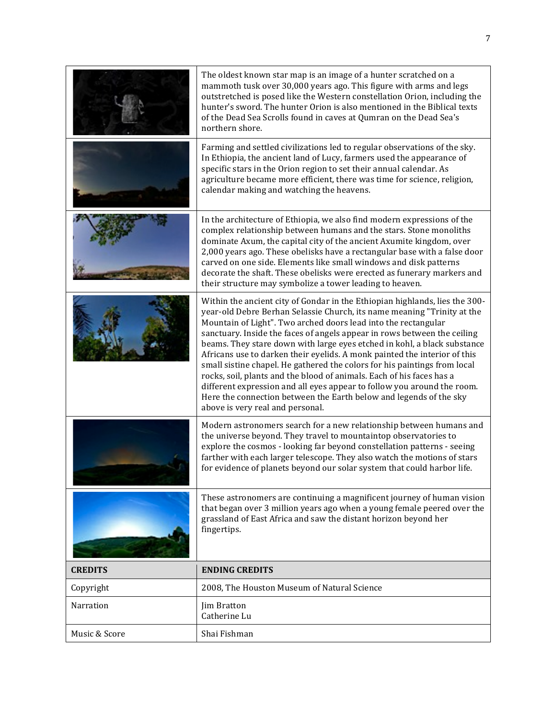|                | The oldest known star map is an image of a hunter scratched on a<br>mammoth tusk over 30,000 years ago. This figure with arms and legs<br>outstretched is posed like the Western constellation Orion, including the<br>hunter's sword. The hunter Orion is also mentioned in the Biblical texts<br>of the Dead Sea Scrolls found in caves at Qumran on the Dead Sea's<br>northern shore.                                                                                                                                                                                                                                                                                                                                                                                                                 |
|----------------|----------------------------------------------------------------------------------------------------------------------------------------------------------------------------------------------------------------------------------------------------------------------------------------------------------------------------------------------------------------------------------------------------------------------------------------------------------------------------------------------------------------------------------------------------------------------------------------------------------------------------------------------------------------------------------------------------------------------------------------------------------------------------------------------------------|
|                | Farming and settled civilizations led to regular observations of the sky.<br>In Ethiopia, the ancient land of Lucy, farmers used the appearance of<br>specific stars in the Orion region to set their annual calendar. As<br>agriculture became more efficient, there was time for science, religion,<br>calendar making and watching the heavens.                                                                                                                                                                                                                                                                                                                                                                                                                                                       |
|                | In the architecture of Ethiopia, we also find modern expressions of the<br>complex relationship between humans and the stars. Stone monoliths<br>dominate Axum, the capital city of the ancient Axumite kingdom, over<br>2,000 years ago. These obelisks have a rectangular base with a false door<br>carved on one side. Elements like small windows and disk patterns<br>decorate the shaft. These obelisks were erected as funerary markers and<br>their structure may symbolize a tower leading to heaven.                                                                                                                                                                                                                                                                                           |
|                | Within the ancient city of Gondar in the Ethiopian highlands, lies the 300-<br>year-old Debre Berhan Selassie Church, its name meaning "Trinity at the<br>Mountain of Light". Two arched doors lead into the rectangular<br>sanctuary. Inside the faces of angels appear in rows between the ceiling<br>beams. They stare down with large eyes etched in kohl, a black substance<br>Africans use to darken their eyelids. A monk painted the interior of this<br>small sistine chapel. He gathered the colors for his paintings from local<br>rocks, soil, plants and the blood of animals. Each of his faces has a<br>different expression and all eyes appear to follow you around the room.<br>Here the connection between the Earth below and legends of the sky<br>above is very real and personal. |
|                | Modern astronomers search for a new relationship between humans and<br>the universe beyond. They travel to mountaintop observatories to<br>explore the cosmos - looking far beyond constellation patterns - seeing<br>farther with each larger telescope. They also watch the motions of stars<br>for evidence of planets beyond our solar system that could harbor life.                                                                                                                                                                                                                                                                                                                                                                                                                                |
|                | These astronomers are continuing a magnificent journey of human vision<br>that began over 3 million years ago when a young female peered over the<br>grassland of East Africa and saw the distant horizon beyond her<br>fingertips.                                                                                                                                                                                                                                                                                                                                                                                                                                                                                                                                                                      |
| <b>CREDITS</b> | <b>ENDING CREDITS</b>                                                                                                                                                                                                                                                                                                                                                                                                                                                                                                                                                                                                                                                                                                                                                                                    |
| Copyright      | 2008, The Houston Museum of Natural Science                                                                                                                                                                                                                                                                                                                                                                                                                                                                                                                                                                                                                                                                                                                                                              |
| Narration      | Jim Bratton<br>Catherine Lu                                                                                                                                                                                                                                                                                                                                                                                                                                                                                                                                                                                                                                                                                                                                                                              |
| Music & Score  | Shai Fishman                                                                                                                                                                                                                                                                                                                                                                                                                                                                                                                                                                                                                                                                                                                                                                                             |

L